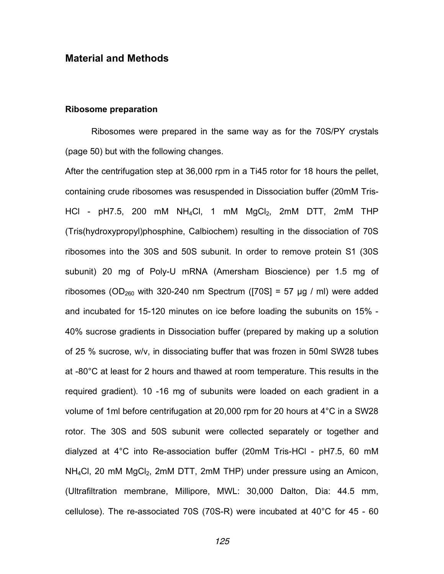## **Material and Methods**

## **Ribosome preparation**

Ribosomes were prepared in the same way as for the 70S/PY crystals (page 50) but with the following changes.

After the centrifugation step at 36,000 rpm in a Ti45 rotor for 18 hours the pellet, containing crude ribosomes was resuspended in Dissociation buffer (20mM Tris-HCl - pH7.5, 200 mM NH<sub>4</sub>Cl, 1 mM MgCl<sub>2</sub>, 2mM DTT, 2mM THP (Tris(hydroxypropyl)phosphine, Calbiochem) resulting in the dissociation of 70S ribosomes into the 30S and 50S subunit. In order to remove protein S1 (30S subunit) 20 mg of Poly-U mRNA (Amersham Bioscience) per 1.5 mg of ribosomes (OD<sub>260</sub> with 320-240 nm Spectrum ([70S] = 57 µg / ml) were added and incubated for 15-120 minutes on ice before loading the subunits on 15% - 40% sucrose gradients in Dissociation buffer (prepared by making up a solution of 25 % sucrose, w/v, in dissociating buffer that was frozen in 50ml SW28 tubes at -80°C at least for 2 hours and thawed at room temperature. This results in the required gradient). 10 -16 mg of subunits were loaded on each gradient in a volume of 1ml before centrifugation at 20,000 rpm for 20 hours at 4°C in a SW28 rotor. The 30S and 50S subunit were collected separately or together and dialyzed at 4°C into Re-association buffer (20mM Tris-HCl - pH7.5, 60 mM  $NH<sub>4</sub>Cl$ , 20 mM  $MgCl<sub>2</sub>$ , 2mM DTT, 2mM THP) under pressure using an Amicon, (Ultrafiltration membrane, Millipore, MWL: 30,000 Dalton, Dia: 44.5 mm, cellulose). The re-associated 70S (70S-R) were incubated at 40°C for 45 - 60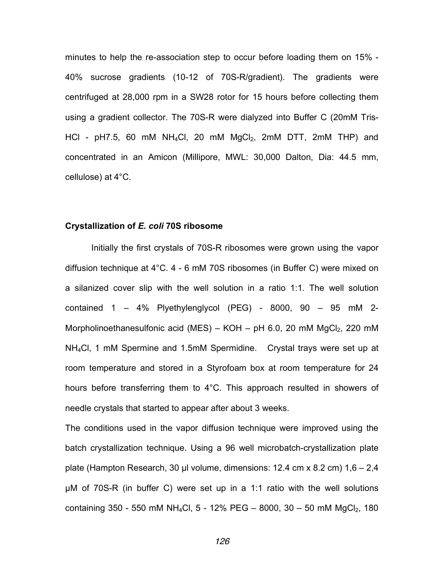minutes to help the re-association step to occur before loading them on 15% - 40% sucrose gradients (10-12 of 70S-R/gradient). The gradients were centrifuged at 28,000 rpm in a SW28 rotor for 15 hours before collecting them using a gradient collector. The 70S-R were dialyzed into Buffer C (20mM Tris-HCl -  $p$ H7.5, 60 mM NH<sub>4</sub>Cl, 20 mM MgCl<sub>2</sub>, 2mM DTT, 2mM THP) and concentrated in an Amicon (Millipore, MWL: 30,000 Dalton, Dia: 44.5 mm, cellulose) at 4°C.

## **Crystallization of** *E. coli* **70S ribosome**

Initially the first crystals of 70S-R ribosomes were grown using the vapor diffusion technique at 4°C. 4 - 6 mM 70S ribosomes (in Buffer C) were mixed on a silanized cover slip with the well solution in a ratio 1:1. The well solution contained  $1 - 4\%$  Plyethylenglycol (PEG) - 8000, 90 - 95 mM 2-Morpholinoethanesulfonic acid (MES) – KOH – pH 6.0, 20 mM  $MgCl<sub>2</sub>$ , 220 mM NH4Cl, 1 mM Spermine and 1.5mM Spermidine. Crystal trays were set up at room temperature and stored in a Styrofoam box at room temperature for 24 hours before transferring them to 4°C. This approach resulted in showers of needle crystals that started to appear after about 3 weeks.

The conditions used in the vapor diffusion technique were improved using the batch crystallization technique. Using a 96 well microbatch-crystallization plate plate (Hampton Research, 30 µl volume, dimensions: 12.4 cm x 8.2 cm)  $1,6 - 2,4$ µM of 70S-R (in buffer C) were set up in a 1:1 ratio with the well solutions containing 350 - 550 mM NH<sub>4</sub>Cl, 5 - 12% PEG - 8000, 30 - 50 mM MgCl<sub>2</sub>, 180

126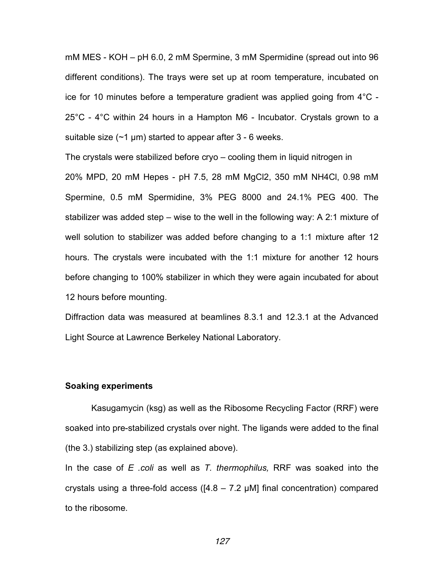mM MES - KOH – pH 6.0, 2 mM Spermine, 3 mM Spermidine (spread out into 96 different conditions). The trays were set up at room temperature, incubated on ice for 10 minutes before a temperature gradient was applied going from 4°C - 25°C - 4°C within 24 hours in a Hampton M6 - Incubator. Crystals grown to a suitable size  $(\sim 1 \,\mu m)$  started to appear after 3 - 6 weeks.

The crystals were stabilized before cryo – cooling them in liquid nitrogen in 20% MPD, 20 mM Hepes - pH 7.5, 28 mM MgCl2, 350 mM NH4Cl, 0.98 mM Spermine, 0.5 mM Spermidine, 3% PEG 8000 and 24.1% PEG 400. The stabilizer was added step – wise to the well in the following way: A 2:1 mixture of well solution to stabilizer was added before changing to a 1:1 mixture after 12 hours. The crystals were incubated with the 1:1 mixture for another 12 hours before changing to 100% stabilizer in which they were again incubated for about 12 hours before mounting.

Diffraction data was measured at beamlines 8.3.1 and 12.3.1 at the Advanced Light Source at Lawrence Berkeley National Laboratory.

## **Soaking experiments**

Kasugamycin (ksg) as well as the Ribosome Recycling Factor (RRF) were soaked into pre-stabilized crystals over night. The ligands were added to the final (the 3.) stabilizing step (as explained above).

In the case of *E .coli* as well as *T. thermophilus,* RRF was soaked into the crystals using a three-fold access ( $[4.8 - 7.2 \mu M]$  final concentration) compared to the ribosome.

127